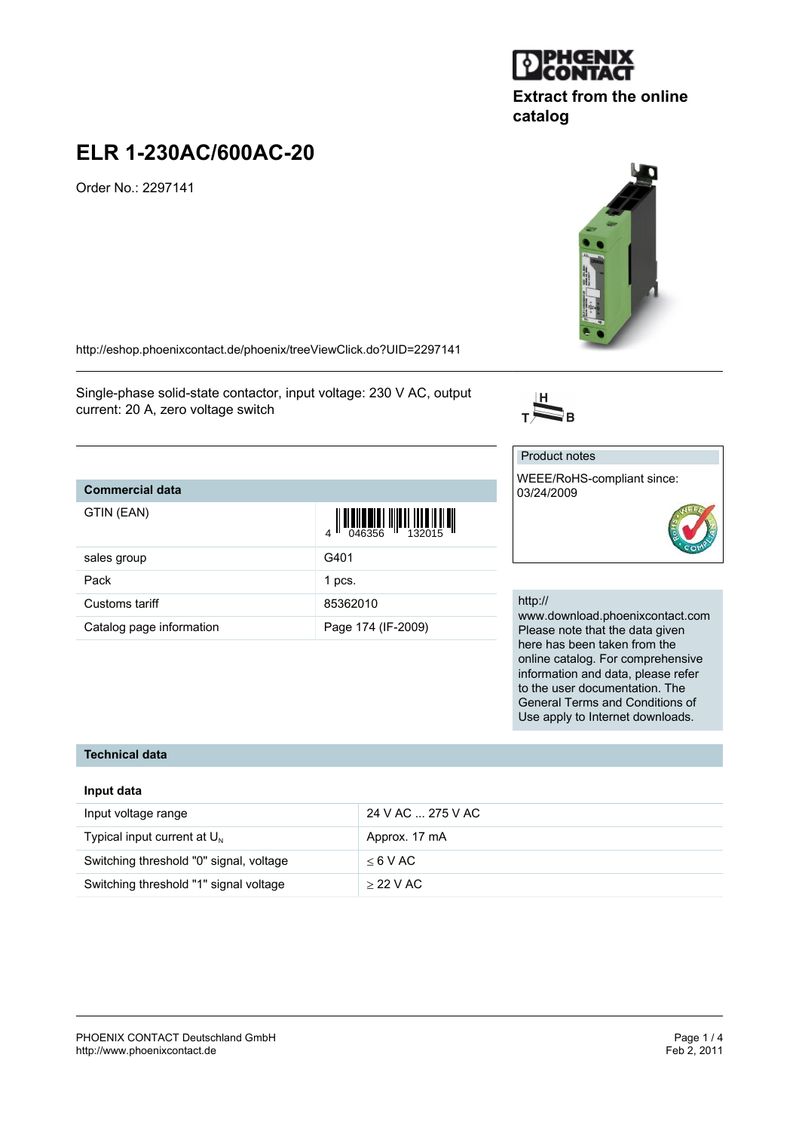

# **ELR 1-230AC/600AC-20**

Order No.: 2297141

<http://eshop.phoenixcontact.de/phoenix/treeViewClick.do?UID=2297141>

Single-phase solid-state contactor, input voltage: 230 V AC, output current: 20 A, zero voltage switch

# **Commercial data**

| GTIN (EAN)               | $\left\  \prod_{0.046356} \right\  \left\  \prod_{132015} \right\  \left\  \prod_{1432015} \right\ $ |
|--------------------------|------------------------------------------------------------------------------------------------------|
| sales group              | G401                                                                                                 |
| Pack                     | 1 pcs.                                                                                               |
| Customs tariff           | 85362010                                                                                             |
| Catalog page information | Page 174 (IF-2009)                                                                                   |

#### http://

Product notes

03/24/2009

 $\overline{\sum}_{\mathrm{B}}$ 

www.download.phoenixcontact.com Please note that the data given here has been taken from the online catalog. For comprehensive information and data, please refer to the user documentation. The General Terms and Conditions of Use apply to Internet downloads.

## **Technical data**

#### **Input data**

| Input voltage range                     | 24 V AC  275 V AC |
|-----------------------------------------|-------------------|
| Typical input current at $U_{N}$        | Approx. 17 mA     |
| Switching threshold "0" signal, voltage | $<$ 6 V AC        |
| Switching threshold "1" signal voltage  | $>$ 22 V AC       |



# **Extract from the online catalog**



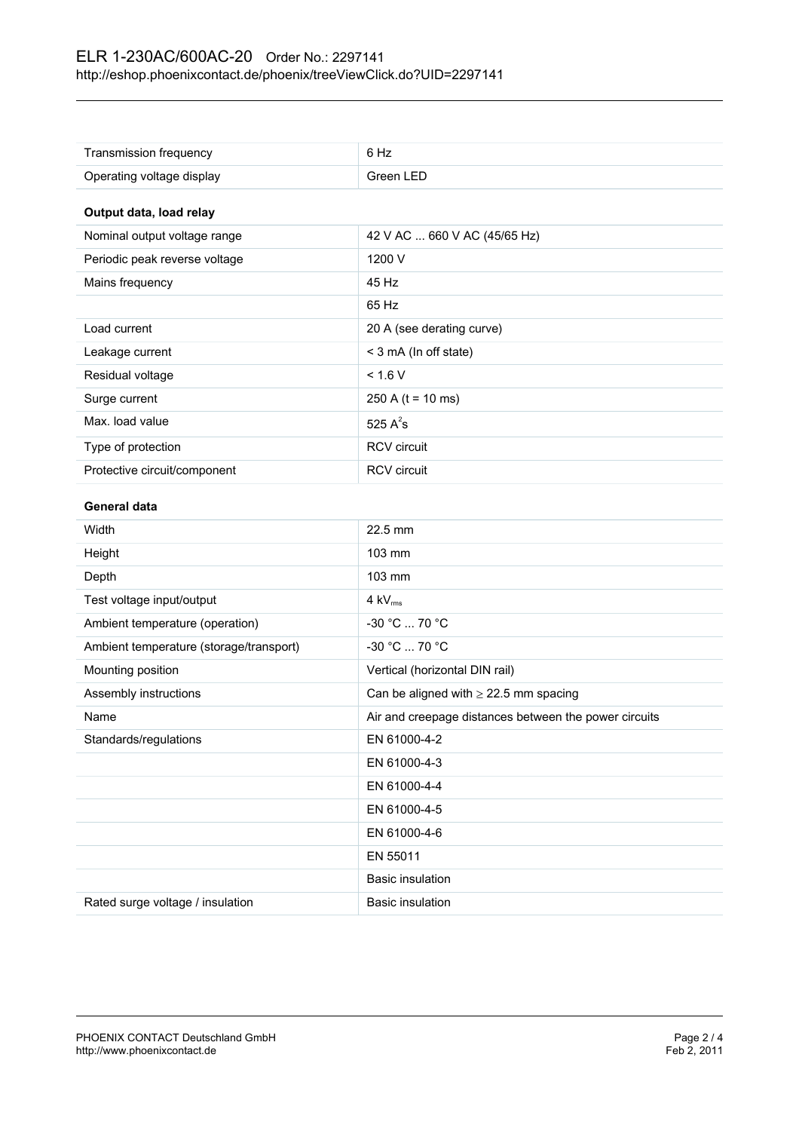| Transmission frequency                  | 6 Hz                                                  |
|-----------------------------------------|-------------------------------------------------------|
| Operating voltage display               | Green LED                                             |
| Output data, load relay                 |                                                       |
| Nominal output voltage range            | 42 V AC  660 V AC (45/65 Hz)                          |
| Periodic peak reverse voltage           | 1200 V                                                |
| Mains frequency                         | 45 Hz                                                 |
|                                         | 65 Hz                                                 |
| Load current                            | 20 A (see derating curve)                             |
| Leakage current                         | < 3 mA (In off state)                                 |
| Residual voltage                        | < 1.6 V                                               |
| Surge current                           | 250 A ( $t = 10$ ms)                                  |
| Max. load value                         | 525 $A^2$ s                                           |
| Type of protection                      | <b>RCV</b> circuit                                    |
| Protective circuit/component            | RCV circuit                                           |
| General data                            |                                                       |
| Width                                   | 22.5 mm                                               |
| Height                                  | 103 mm                                                |
| Depth                                   | 103 mm                                                |
| Test voltage input/output               | 4 kV <sub>rms</sub>                                   |
| Ambient temperature (operation)         | -30 °C  70 °C                                         |
| Ambient temperature (storage/transport) | -30 °C  70 °C                                         |
| Mounting position                       | Vertical (horizontal DIN rail)                        |
| Assembly instructions                   | Can be aligned with $\geq$ 22.5 mm spacing            |
| Name                                    | Air and creepage distances between the power circuits |
| Standards/regulations                   | EN 61000-4-2                                          |
|                                         | EN 61000-4-3                                          |
|                                         | EN 61000-4-4                                          |
|                                         | EN 61000-4-5                                          |
|                                         | EN 61000-4-6                                          |
|                                         | EN 55011                                              |
|                                         | <b>Basic insulation</b>                               |
| Rated surge voltage / insulation        | <b>Basic insulation</b>                               |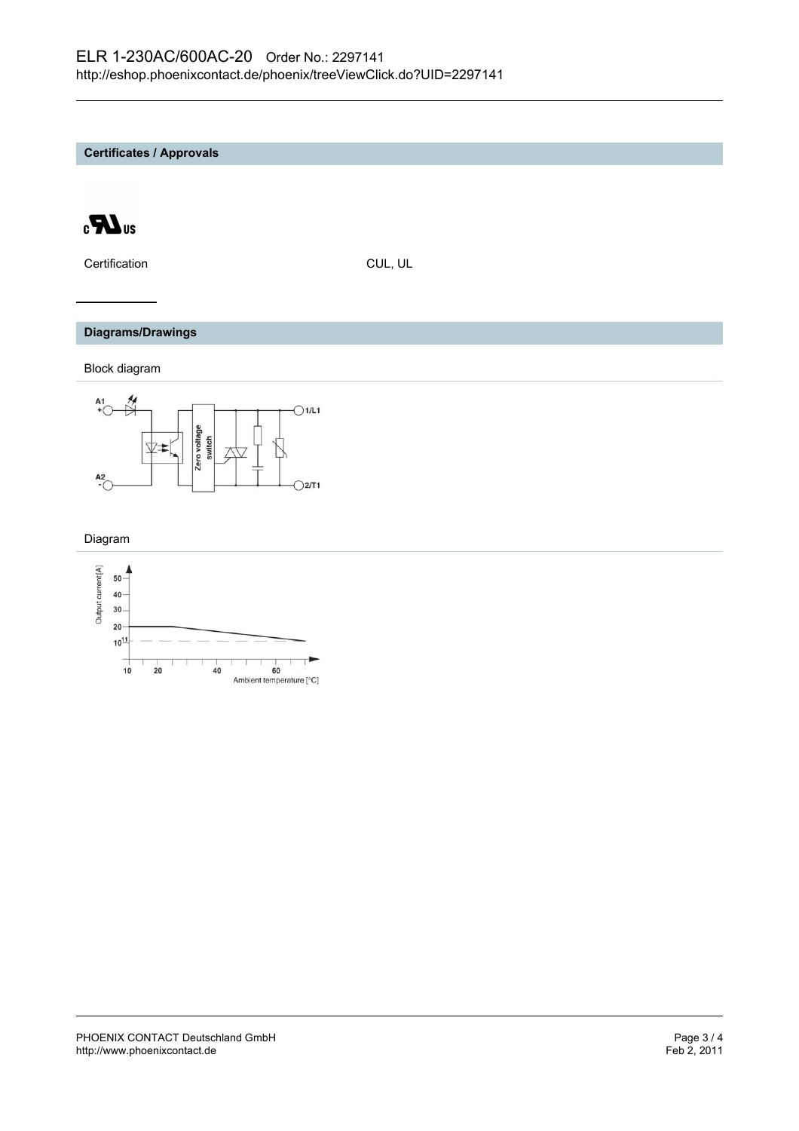**Certificates / Approvals**



Certification CUL, UL

### **Diagrams/Drawings**

Block diagram



Diagram